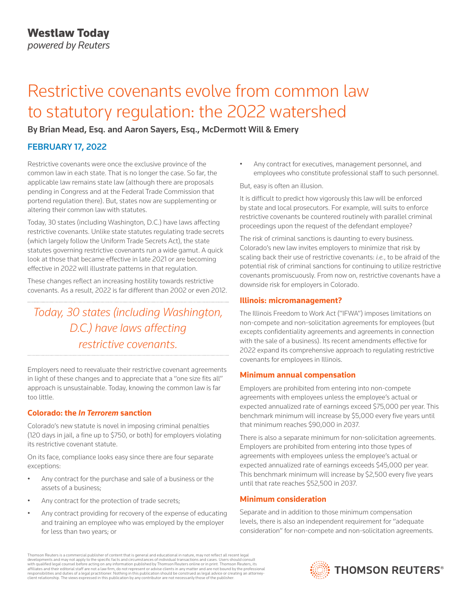# Restrictive covenants evolve from common law to statutory regulation: the 2022 watershed

By Brian Mead, Esq. and Aaron Sayers, Esq., McDermott Will & Emery

# FEBRUARY 17, 2022

Restrictive covenants were once the exclusive province of the common law in each state. That is no longer the case. So far, the applicable law remains state law (although there are proposals pending in Congress and at the Federal Trade Commission that portend regulation there). But, states now are supplementing or altering their common law with statutes.

Today, 30 states (including Washington, D.C.) have laws affecting restrictive covenants. Unlike state statutes regulating trade secrets (which largely follow the Uniform Trade Secrets Act), the state statutes governing restrictive covenants run a wide gamut. A quick look at those that became effective in late 2021 or are becoming effective in 2022 will illustrate patterns in that regulation.

These changes reflect an increasing hostility towards restrictive covenants. As a result, 2022 is far different than 2002 or even 2012.

# *Today, 30 states (including Washington, D.C.) have laws affecting restrictive covenants.*

Employers need to reevaluate their restrictive covenant agreements in light of these changes and to appreciate that a "one size fits all" approach is unsustainable. Today, knowing the common law is far too little.

# **Colorado: the** *In Terrorem* **sanction**

Colorado's new statute is novel in imposing criminal penalties (120 days in jail, a fine up to \$750, or both) for employers violating its restrictive covenant statute.

On its face, compliance looks easy since there are four separate exceptions:

- Any contract for the purchase and sale of a business or the assets of a business;
- Any contract for the protection of trade secrets;
- Any contract providing for recovery of the expense of educating and training an employee who was employed by the employer for less than two years; or

• Any contract for executives, management personnel, and employees who constitute professional staff to such personnel.

But, easy is often an illusion.

It is difficult to predict how vigorously this law will be enforced by state and local prosecutors. For example, will suits to enforce restrictive covenants be countered routinely with parallel criminal proceedings upon the request of the defendant employee?

The risk of criminal sanctions is daunting to every business. Colorado's new law invites employers to minimize that risk by scaling back their use of restrictive covenants: *i.e.*, to be afraid of the potential risk of criminal sanctions for continuing to utilize restrictive covenants promiscuously. From now on, restrictive covenants have a downside risk for employers in Colorado.

# **Illinois: micromanagement?**

The Illinois Freedom to Work Act ("IFWA") imposes limitations on non-compete and non-solicitation agreements for employees (but excepts confidentiality agreements and agreements in connection with the sale of a business). Its recent amendments effective for 2022 expand its comprehensive approach to regulating restrictive covenants for employees in Illinois.

# **Minimum annual compensation**

Employers are prohibited from entering into non-compete agreements with employees unless the employee's actual or expected annualized rate of earnings exceed \$75,000 per year. This benchmark minimum will increase by \$5,000 every five years until that minimum reaches \$90,000 in 2037.

There is also a separate minimum for non-solicitation agreements. Employers are prohibited from entering into those types of agreements with employees unless the employee's actual or expected annualized rate of earnings exceeds \$45,000 per year. This benchmark minimum will increase by \$2,500 every five years until that rate reaches \$52,500 in 2037.

# **Minimum consideration**

Separate and in addition to those minimum compensation levels, there is also an independent requirement for "adequate consideration" for non-compete and non-solicitation agreements.

Thomson Reuters is a commercial publisher of content that is general and educational in nature, may not reflect all recent legal developments and may not apply to the specific facts and circumstances of individual transactions and cases. Users should consult<br>with qualified legal counsel before acting on any information published by Thomson Reuters o responsibilities and duties of a legal practitioner. Nothing in this publication should be construed as legal advice or creating an attorneyclient relationship. The views expressed in this publication by any contributor are not necessarily those of the publisher.

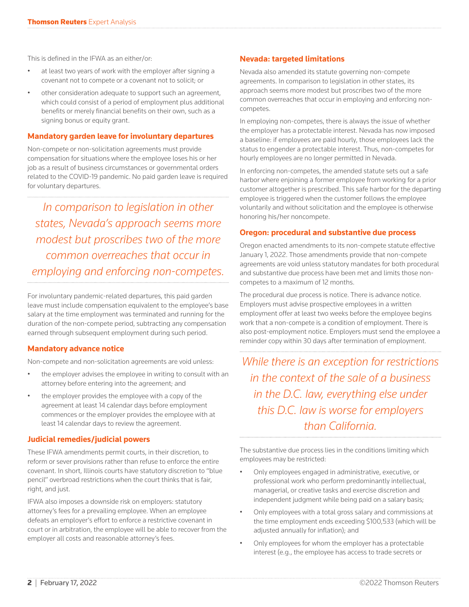This is defined in the IFWA as an either/or:

- at least two years of work with the employer after signing a covenant not to compete or a covenant not to solicit; or
- other consideration adequate to support such an agreement, which could consist of a period of employment plus additional benefits or merely financial benefits on their own, such as a signing bonus or equity grant.

#### **Mandatory garden leave for involuntary departures**

Non-compete or non-solicitation agreements must provide compensation for situations where the employee loses his or her job as a result of business circumstances or governmental orders related to the COVID-19 pandemic. No paid garden leave is required for voluntary departures.

*In comparison to legislation in other states, Nevada's approach seems more modest but proscribes two of the more common overreaches that occur in employing and enforcing non-competes.*

For involuntary pandemic-related departures, this paid garden leave must include compensation equivalent to the employee's base salary at the time employment was terminated and running for the duration of the non-compete period, subtracting any compensation earned through subsequent employment during such period.

#### **Mandatory advance notice**

Non-compete and non-solicitation agreements are void unless:

- the employer advises the employee in writing to consult with an attorney before entering into the agreement; and
- the employer provides the employee with a copy of the agreement at least 14 calendar days before employment commences or the employer provides the employee with at least 14 calendar days to review the agreement.

#### **Judicial remedies/judicial powers**

These IFWA amendments permit courts, in their discretion, to reform or sever provisions rather than refuse to enforce the entire covenant. In short, Illinois courts have statutory discretion to "blue pencil" overbroad restrictions when the court thinks that is fair, right, and just.

IFWA also imposes a downside risk on employers: statutory attorney's fees for a prevailing employee. When an employee defeats an employer's effort to enforce a restrictive covenant in court or in arbitration, the employee will be able to recover from the employer all costs and reasonable attorney's fees.

# **Nevada: targeted limitations**

Nevada also amended its statute governing non-compete agreements. In comparison to legislation in other states, its approach seems more modest but proscribes two of the more common overreaches that occur in employing and enforcing noncompetes.

In employing non-competes, there is always the issue of whether the employer has a protectable interest. Nevada has now imposed a baseline: if employees are paid hourly, those employees lack the status to engender a protectable interest. Thus, non-competes for hourly employees are no longer permitted in Nevada.

In enforcing non-competes, the amended statute sets out a safe harbor where enjoining a former employee from working for a prior customer altogether is prescribed. This safe harbor for the departing employee is triggered when the customer follows the employee voluntarily and without solicitation and the employee is otherwise honoring his/her noncompete.

#### **Oregon: procedural and substantive due process**

Oregon enacted amendments to its non-compete statute effective January 1, 2022. Those amendments provide that non-compete agreements are void unless statutory mandates for both procedural and substantive due process have been met and limits those noncompetes to a maximum of 12 months.

The procedural due process is notice. There is advance notice. Employers must advise prospective employees in a written employment offer at least two weeks before the employee begins work that a non-compete is a condition of employment. There is also post-employment notice. Employers must send the employee a reminder copy within 30 days after termination of employment.

*While there is an exception for restrictions in the context of the sale of a business in the D.C. law, everything else under this D.C. law is worse for employers than California.*

The substantive due process lies in the conditions limiting which employees may be restricted:

- Only employees engaged in administrative, executive, or professional work who perform predominantly intellectual, managerial, or creative tasks and exercise discretion and independent judgment while being paid on a salary basis;
- Only employees with a total gross salary and commissions at the time employment ends exceeding \$100,533 (which will be adjusted annually for inflation); and
- Only employees for whom the employer has a protectable interest (e.g., the employee has access to trade secrets or